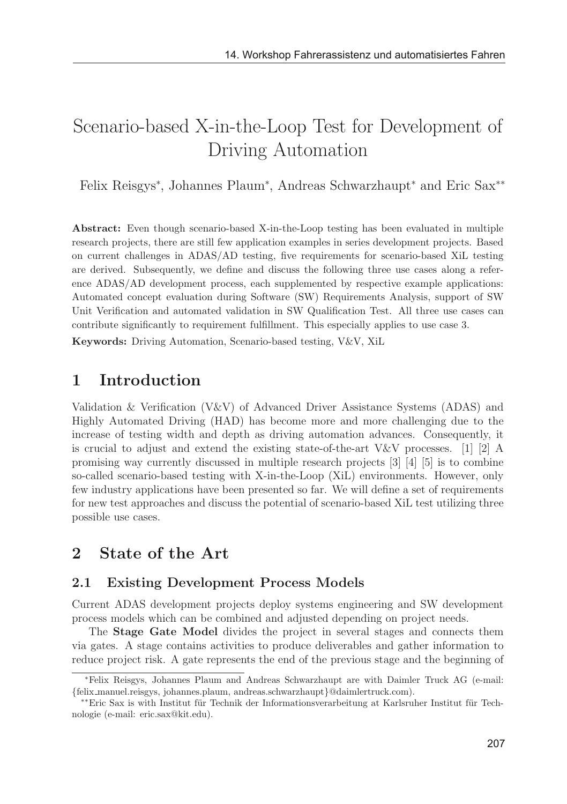# Scenario-based X-in-the-Loop Test for Development of Driving Automation

Felix Reisgys<sup>∗</sup> , Johannes Plaum<sup>∗</sup> , Andreas Schwarzhaupt<sup>∗</sup> and Eric Sax∗∗

Abstract: Even though scenario-based X-in-the-Loop testing has been evaluated in multiple research projects, there are still few application examples in series development projects. Based on current challenges in ADAS/AD testing, five requirements for scenario-based XiL testing are derived. Subsequently, we define and discuss the following three use cases along a reference ADAS/AD development process, each supplemented by respective example applications: Automated concept evaluation during Software (SW) Requirements Analysis, support of SW Unit Verification and automated validation in SW Qualification Test. All three use cases can contribute significantly to requirement fulfillment. This especially applies to use case 3.

Keywords: Driving Automation, Scenario-based testing, V&V, XiL

### 1 Introduction

Validation & Verification (V&V) of Advanced Driver Assistance Systems (ADAS) and Highly Automated Driving (HAD) has become more and more challenging due to the increase of testing width and depth as driving automation advances. Consequently, it is crucial to adjust and extend the existing state-of-the-art V&V processes. [1] [2] A promising way currently discussed in multiple research projects [3] [4] [5] is to combine so-called scenario-based testing with X-in-the-Loop (XiL) environments. However, only few industry applications have been presented so far. We will define a set of requirements for new test approaches and discuss the potential of scenario-based XiL test utilizing three possible use cases.

### 2 State of the Art

#### 2.1 Existing Development Process Models

Current ADAS development projects deploy systems engineering and SW development process models which can be combined and adjusted depending on project needs.

The Stage Gate Model divides the project in several stages and connects them via gates. A stage contains activities to produce deliverables and gather information to reduce project risk. A gate represents the end of the previous stage and the beginning of

<sup>∗</sup>Felix Reisgys, Johannes Plaum and Andreas Schwarzhaupt are with Daimler Truck AG (e-mail:

<sup>\*\*</sup>Eric Sax is with Institut für Technik der Informationsverarbeitung at Karlsruher Institut für Technologie (e-mail: eric.sax@kit.edu).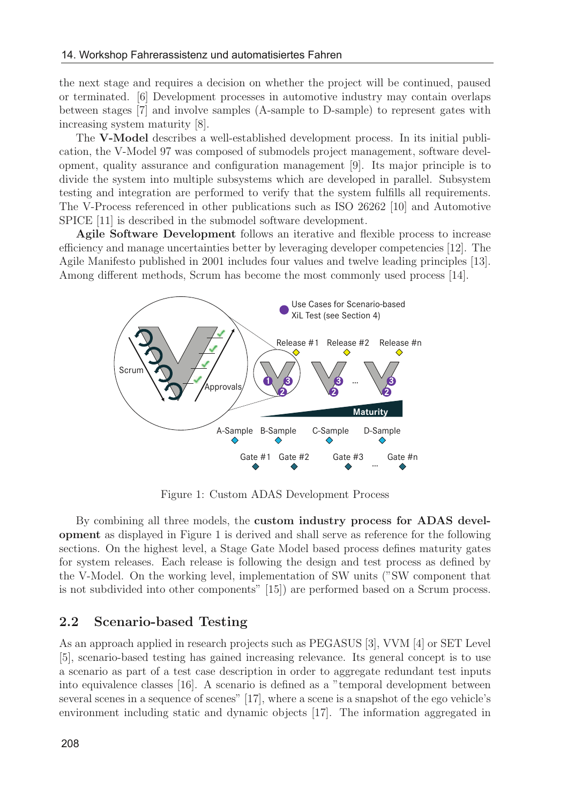the next stage and requires a decision on whether the project will be continued, paused or terminated. [6] Development processes in automotive industry may contain overlaps between stages [7] and involve samples (A-sample to D-sample) to represent gates with increasing system maturity [8].

The V-Model describes a well-established development process. In its initial publication, the V-Model 97 was composed of submodels project management, software development, quality assurance and configuration management [9]. Its major principle is to divide the system into multiple subsystems which are developed in parallel. Subsystem testing and integration are performed to verify that the system fulfills all requirements. The V-Process referenced in other publications such as ISO 26262 [10] and Automotive SPICE [11] is described in the submodel software development.

Agile Software Development follows an iterative and flexible process to increase efficiency and manage uncertainties better by leveraging developer competencies [12]. The Agile Manifesto published in 2001 includes four values and twelve leading principles [13]. Among different methods, Scrum has become the most commonly used process [14].



Figure 1: Custom ADAS Development Process

By combining all three models, the custom industry process for ADAS development as displayed in Figure 1 is derived and shall serve as reference for the following sections. On the highest level, a Stage Gate Model based process defines maturity gates for system releases. Each release is following the design and test process as defined by the V-Model. On the working level, implementation of SW units ("SW component that is not subdivided into other components" [15]) are performed based on a Scrum process.

#### 2.2 Scenario-based Testing

As an approach applied in research projects such as PEGASUS [3], VVM [4] or SET Level [5], scenario-based testing has gained increasing relevance. Its general concept is to use a scenario as part of a test case description in order to aggregate redundant test inputs into equivalence classes [16]. A scenario is defined as a "temporal development between several scenes in a sequence of scenes" [17], where a scene is a snapshot of the ego vehicle's environment including static and dynamic objects [17]. The information aggregated in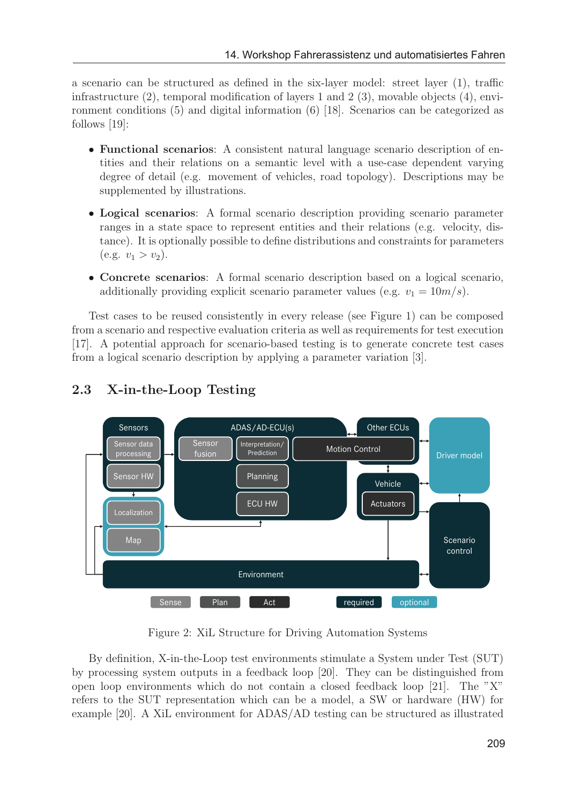a scenario can be structured as defined in the six-layer model: street layer (1), traffic infrastructure  $(2)$ , temporal modification of layers 1 and 2  $(3)$ , movable objects  $(4)$ , environment conditions (5) and digital information (6) [18]. Scenarios can be categorized as follows [19]:

- Functional scenarios: A consistent natural language scenario description of entities and their relations on a semantic level with a use-case dependent varying degree of detail (e.g. movement of vehicles, road topology). Descriptions may be supplemented by illustrations.
- Logical scenarios: A formal scenario description providing scenario parameter ranges in a state space to represent entities and their relations (e.g. velocity, distance). It is optionally possible to define distributions and constraints for parameters  $(e.g. v_1 > v_2).$
- Concrete scenarios: A formal scenario description based on a logical scenario, additionally providing explicit scenario parameter values (e.g.  $v_1 = 10m/s$ ).

Test cases to be reused consistently in every release (see Figure 1) can be composed from a scenario and respective evaluation criteria as well as requirements for test execution [17]. A potential approach for scenario-based testing is to generate concrete test cases from a logical scenario description by applying a parameter variation [3].



### 2.3 X-in-the-Loop Testing

Figure 2: XiL Structure for Driving Automation Systems

By definition, X-in-the-Loop test environments stimulate a System under Test (SUT) by processing system outputs in a feedback loop [20]. They can be distinguished from open loop environments which do not contain a closed feedback loop [21]. The "X" refers to the SUT representation which can be a model, a SW or hardware (HW) for example [20]. A XiL environment for ADAS/AD testing can be structured as illustrated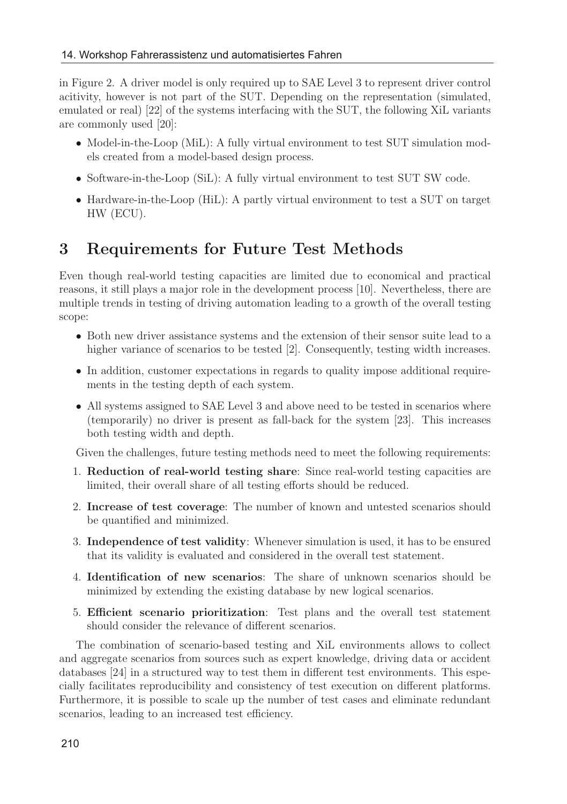in Figure 2. A driver model is only required up to SAE Level 3 to represent driver control acitivity, however is not part of the SUT. Depending on the representation (simulated, emulated or real) [22] of the systems interfacing with the SUT, the following XiL variants are commonly used [20]:

- Model-in-the-Loop (MiL): A fully virtual environment to test SUT simulation models created from a model-based design process.
- Software-in-the-Loop (SiL): A fully virtual environment to test SUT SW code.
- Hardware-in-the-Loop (HiL): A partly virtual environment to test a SUT on target HW (ECU).

### 3 Requirements for Future Test Methods

Even though real-world testing capacities are limited due to economical and practical reasons, it still plays a major role in the development process [10]. Nevertheless, there are multiple trends in testing of driving automation leading to a growth of the overall testing scope:

- Both new driver assistance systems and the extension of their sensor suite lead to a higher variance of scenarios to be tested [2]. Consequently, testing width increases.
- In addition, customer expectations in regards to quality impose additional requirements in the testing depth of each system.
- All systems assigned to SAE Level 3 and above need to be tested in scenarios where (temporarily) no driver is present as fall-back for the system [23]. This increases both testing width and depth.

Given the challenges, future testing methods need to meet the following requirements:

- 1. Reduction of real-world testing share: Since real-world testing capacities are limited, their overall share of all testing efforts should be reduced.
- 2. Increase of test coverage: The number of known and untested scenarios should be quantified and minimized.
- 3. Independence of test validity: Whenever simulation is used, it has to be ensured that its validity is evaluated and considered in the overall test statement.
- 4. Identification of new scenarios: The share of unknown scenarios should be minimized by extending the existing database by new logical scenarios.
- 5. Efficient scenario prioritization: Test plans and the overall test statement should consider the relevance of different scenarios.

The combination of scenario-based testing and XiL environments allows to collect and aggregate scenarios from sources such as expert knowledge, driving data or accident databases [24] in a structured way to test them in different test environments. This especially facilitates reproducibility and consistency of test execution on different platforms. Furthermore, it is possible to scale up the number of test cases and eliminate redundant scenarios, leading to an increased test efficiency.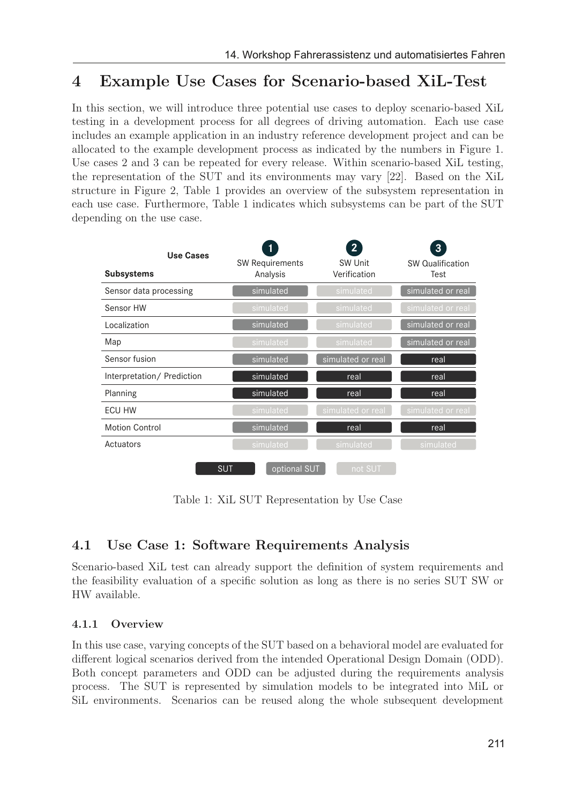# 4 Example Use Cases for Scenario-based XiL-Test

In this section, we will introduce three potential use cases to deploy scenario-based XiL testing in a development process for all degrees of driving automation. Each use case includes an example application in an industry reference development project and can be allocated to the example development process as indicated by the numbers in Figure 1. Use cases 2 and 3 can be repeated for every release. Within scenario-based XiL testing, the representation of the SUT and its environments may vary [22]. Based on the XiL structure in Figure 2, Table 1 provides an overview of the subsystem representation in each use case. Furthermore, Table 1 indicates which subsystems can be part of the SUT depending on the use case.

| Use Cases<br><b>Subsystems</b> | <b>SW Requirements</b><br>Analysis | $\overline{2}$<br>SW Unit<br>Verification | 3<br>SW Qualification<br>Test |
|--------------------------------|------------------------------------|-------------------------------------------|-------------------------------|
| Sensor data processing         | simulated                          | simulated                                 | simulated or real             |
| Sensor HW                      | simulated                          | simulated                                 | simulated or real             |
| Localization                   | simulated                          | simulated                                 | simulated or real             |
| Map                            | simulated                          | simulated                                 | simulated or real             |
| Sensor fusion                  | simulated                          | simulated or real                         | real                          |
| Interpretation/ Prediction     | simulated                          | real                                      | real                          |
| Planning                       | simulated                          | real                                      | real                          |
| <b>ECU HW</b>                  | simulated                          | simulated or real                         | simulated or real             |
| <b>Motion Control</b>          | simulated                          | real                                      | real                          |
| Actuators                      | simulated                          | simulated                                 | simulated                     |
| <b>SUT</b>                     | optional SUT                       | not SUT                                   |                               |

Table 1: XiL SUT Representation by Use Case

### 4.1 Use Case 1: Software Requirements Analysis

Scenario-based XiL test can already support the definition of system requirements and the feasibility evaluation of a specific solution as long as there is no series SUT SW or HW available.

#### 4.1.1 Overview

In this use case, varying concepts of the SUT based on a behavioral model are evaluated for different logical scenarios derived from the intended Operational Design Domain (ODD). Both concept parameters and ODD can be adjusted during the requirements analysis process. The SUT is represented by simulation models to be integrated into MiL or SiL environments. Scenarios can be reused along the whole subsequent development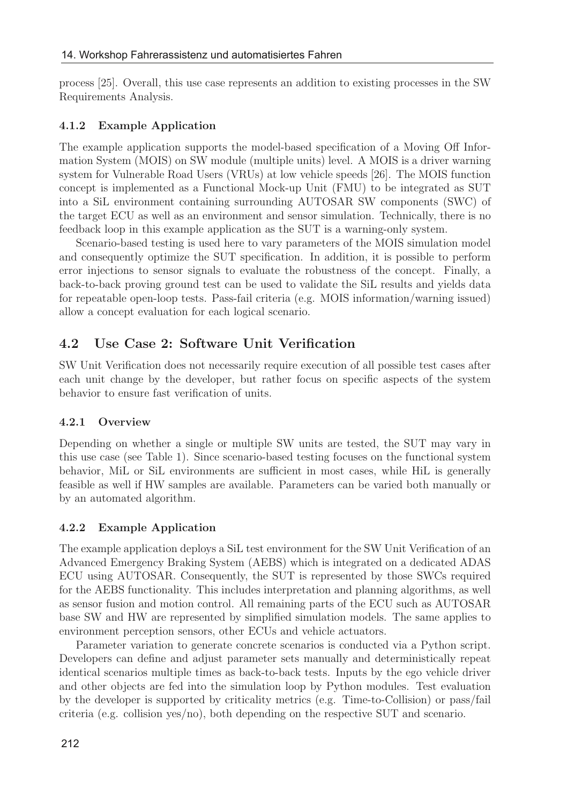process [25]. Overall, this use case represents an addition to existing processes in the SW Requirements Analysis.

#### 4.1.2 Example Application

The example application supports the model-based specification of a Moving Off Information System (MOIS) on SW module (multiple units) level. A MOIS is a driver warning system for Vulnerable Road Users (VRUs) at low vehicle speeds [26]. The MOIS function concept is implemented as a Functional Mock-up Unit (FMU) to be integrated as SUT into a SiL environment containing surrounding AUTOSAR SW components (SWC) of the target ECU as well as an environment and sensor simulation. Technically, there is no feedback loop in this example application as the SUT is a warning-only system.

Scenario-based testing is used here to vary parameters of the MOIS simulation model and consequently optimize the SUT specification. In addition, it is possible to perform error injections to sensor signals to evaluate the robustness of the concept. Finally, a back-to-back proving ground test can be used to validate the SiL results and yields data for repeatable open-loop tests. Pass-fail criteria (e.g. MOIS information/warning issued) allow a concept evaluation for each logical scenario.

#### 4.2 Use Case 2: Software Unit Verification

SW Unit Verification does not necessarily require execution of all possible test cases after each unit change by the developer, but rather focus on specific aspects of the system behavior to ensure fast verification of units.

#### 4.2.1 Overview

Depending on whether a single or multiple SW units are tested, the SUT may vary in this use case (see Table 1). Since scenario-based testing focuses on the functional system behavior, MiL or SiL environments are sufficient in most cases, while HiL is generally feasible as well if HW samples are available. Parameters can be varied both manually or by an automated algorithm.

#### 4.2.2 Example Application

The example application deploys a SiL test environment for the SW Unit Verification of an Advanced Emergency Braking System (AEBS) which is integrated on a dedicated ADAS ECU using AUTOSAR. Consequently, the SUT is represented by those SWCs required for the AEBS functionality. This includes interpretation and planning algorithms, as well as sensor fusion and motion control. All remaining parts of the ECU such as AUTOSAR base SW and HW are represented by simplified simulation models. The same applies to environment perception sensors, other ECUs and vehicle actuators.

Parameter variation to generate concrete scenarios is conducted via a Python script. Developers can define and adjust parameter sets manually and deterministically repeat identical scenarios multiple times as back-to-back tests. Inputs by the ego vehicle driver and other objects are fed into the simulation loop by Python modules. Test evaluation by the developer is supported by criticality metrics (e.g. Time-to-Collision) or pass/fail criteria (e.g. collision yes/no), both depending on the respective SUT and scenario.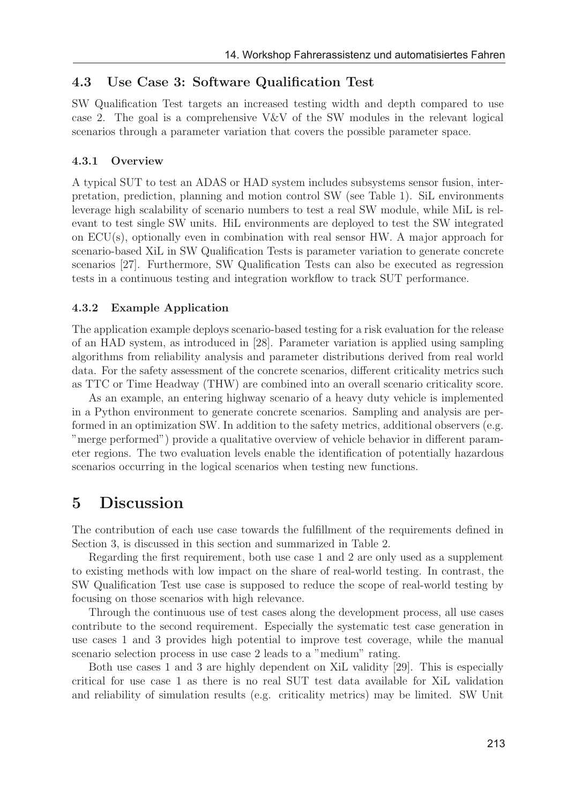#### 4.3 Use Case 3: Software Qualification Test

SW Qualification Test targets an increased testing width and depth compared to use case 2. The goal is a comprehensive V&V of the SW modules in the relevant logical scenarios through a parameter variation that covers the possible parameter space.

#### 4.3.1 Overview

A typical SUT to test an ADAS or HAD system includes subsystems sensor fusion, interpretation, prediction, planning and motion control SW (see Table 1). SiL environments leverage high scalability of scenario numbers to test a real SW module, while MiL is relevant to test single SW units. HiL environments are deployed to test the SW integrated on ECU(s), optionally even in combination with real sensor HW. A major approach for scenario-based XiL in SW Qualification Tests is parameter variation to generate concrete scenarios [27]. Furthermore, SW Qualification Tests can also be executed as regression tests in a continuous testing and integration workflow to track SUT performance.

#### 4.3.2 Example Application

The application example deploys scenario-based testing for a risk evaluation for the release of an HAD system, as introduced in [28]. Parameter variation is applied using sampling algorithms from reliability analysis and parameter distributions derived from real world data. For the safety assessment of the concrete scenarios, different criticality metrics such as TTC or Time Headway (THW) are combined into an overall scenario criticality score.

As an example, an entering highway scenario of a heavy duty vehicle is implemented in a Python environment to generate concrete scenarios. Sampling and analysis are performed in an optimization SW. In addition to the safety metrics, additional observers (e.g. "merge performed") provide a qualitative overview of vehicle behavior in different parameter regions. The two evaluation levels enable the identification of potentially hazardous scenarios occurring in the logical scenarios when testing new functions.

### 5 Discussion

The contribution of each use case towards the fulfillment of the requirements defined in Section 3, is discussed in this section and summarized in Table 2.

Regarding the first requirement, both use case 1 and 2 are only used as a supplement to existing methods with low impact on the share of real-world testing. In contrast, the SW Qualification Test use case is supposed to reduce the scope of real-world testing by focusing on those scenarios with high relevance.

Through the continuous use of test cases along the development process, all use cases contribute to the second requirement. Especially the systematic test case generation in use cases 1 and 3 provides high potential to improve test coverage, while the manual scenario selection process in use case 2 leads to a "medium" rating.

Both use cases 1 and 3 are highly dependent on XiL validity [29]. This is especially critical for use case 1 as there is no real SUT test data available for XiL validation and reliability of simulation results (e.g. criticality metrics) may be limited. SW Unit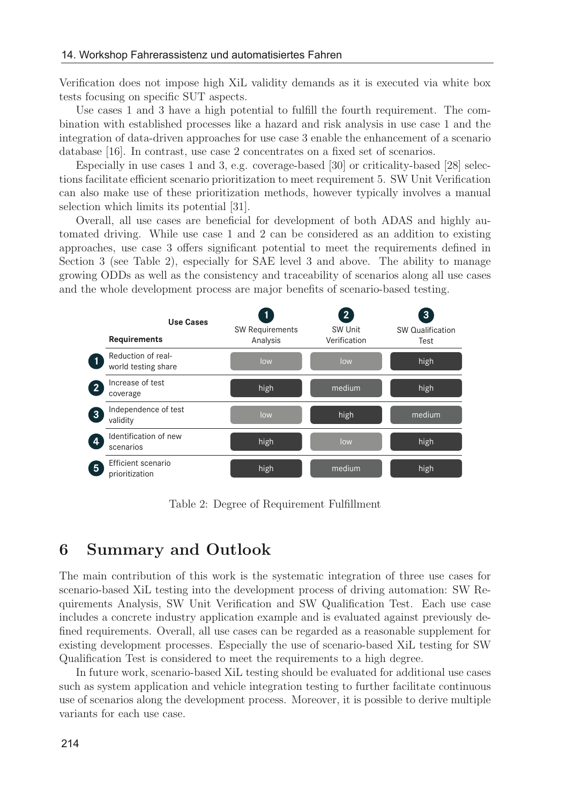Verification does not impose high XiL validity demands as it is executed via white box tests focusing on specific SUT aspects.

Use cases 1 and 3 have a high potential to fulfill the fourth requirement. The combination with established processes like a hazard and risk analysis in use case 1 and the integration of data-driven approaches for use case 3 enable the enhancement of a scenario database [16]. In contrast, use case 2 concentrates on a fixed set of scenarios.

Especially in use cases 1 and 3, e.g. coverage-based [30] or criticality-based [28] selections facilitate efficient scenario prioritization to meet requirement 5. SW Unit Verification can also make use of these prioritization methods, however typically involves a manual selection which limits its potential [31].

Overall, all use cases are beneficial for development of both ADAS and highly automated driving. While use case 1 and 2 can be considered as an addition to existing approaches, use case 3 offers significant potential to meet the requirements defined in Section 3 (see Table 2), especially for SAE level 3 and above. The ability to manage growing ODDs as well as the consistency and traceability of scenarios along all use cases and the whole development process are major benefits of scenario-based testing.



Table 2: Degree of Requirement Fulfillment

### 6 Summary and Outlook

The main contribution of this work is the systematic integration of three use cases for scenario-based XiL testing into the development process of driving automation: SW Requirements Analysis, SW Unit Verification and SW Qualification Test. Each use case includes a concrete industry application example and is evaluated against previously defined requirements. Overall, all use cases can be regarded as a reasonable supplement for existing development processes. Especially the use of scenario-based XiL testing for SW Qualification Test is considered to meet the requirements to a high degree.

In future work, scenario-based XiL testing should be evaluated for additional use cases such as system application and vehicle integration testing to further facilitate continuous use of scenarios along the development process. Moreover, it is possible to derive multiple variants for each use case.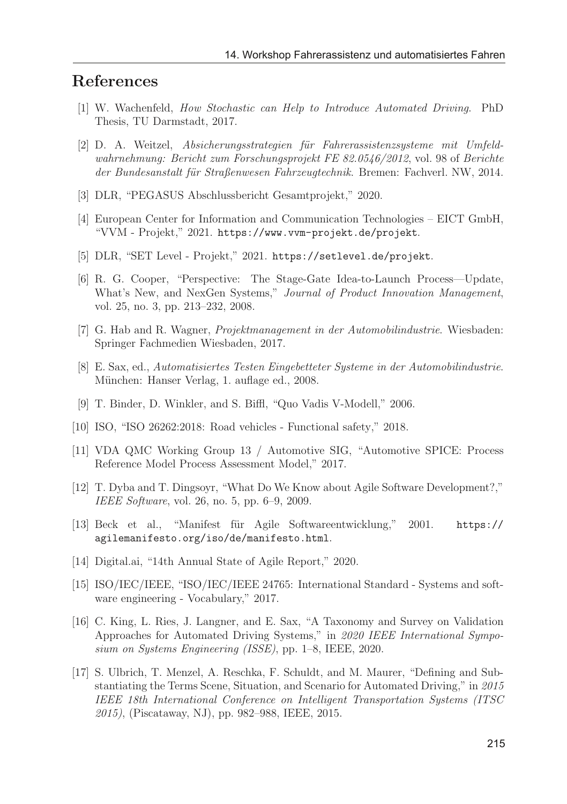## References

- [1] W. Wachenfeld, How Stochastic can Help to Introduce Automated Driving. PhD Thesis, TU Darmstadt, 2017.
- [2] D. A. Weitzel, *Absicherungsstrategien für Fahrerassistenzsysteme mit Umfeld*wahrnehmung: Bericht zum Forschungsprojekt FE 82.0546/2012, vol. 98 of Berichte der Bundesanstalt für Straßenwesen Fahrzeugtechnik. Bremen: Fachverl. NW, 2014.
- [3] DLR, "PEGASUS Abschlussbericht Gesamtprojekt," 2020.
- [4] European Center for Information and Communication Technologies EICT GmbH, "VVM - Projekt," 2021. https://www.vvm-projekt.de/projekt.
- [5] DLR, "SET Level Projekt," 2021. https://setlevel.de/projekt.
- [6] R. G. Cooper, "Perspective: The Stage-Gate Idea-to-Launch Process—Update, What's New, and NexGen Systems," Journal of Product Innovation Management, vol. 25, no. 3, pp. 213–232, 2008.
- [7] G. Hab and R. Wagner, Projektmanagement in der Automobilindustrie. Wiesbaden: Springer Fachmedien Wiesbaden, 2017.
- [8] E. Sax, ed., Automatisiertes Testen Eingebetteter Systeme in der Automobilindustrie. München: Hanser Verlag, 1. auflage ed., 2008.
- [9] T. Binder, D. Winkler, and S. Biffl, "Quo Vadis V-Modell," 2006.
- [10] ISO, "ISO 26262:2018: Road vehicles Functional safety," 2018.
- [11] VDA QMC Working Group 13 / Automotive SIG, "Automotive SPICE: Process Reference Model Process Assessment Model," 2017.
- [12] T. Dyba and T. Dingsoyr, "What Do We Know about Agile Software Development?," IEEE Software, vol. 26, no. 5, pp. 6–9, 2009.
- [13] Beck et al., "Manifest für Agile Softwareentwicklung," 2001. https:// agilemanifesto.org/iso/de/manifesto.html.
- [14] Digital.ai, "14th Annual State of Agile Report," 2020.
- [15] ISO/IEC/IEEE, "ISO/IEC/IEEE 24765: International Standard Systems and software engineering - Vocabulary," 2017.
- [16] C. King, L. Ries, J. Langner, and E. Sax, "A Taxonomy and Survey on Validation Approaches for Automated Driving Systems," in 2020 IEEE International Symposium on Systems Engineering (ISSE), pp. 1–8, IEEE, 2020.
- [17] S. Ulbrich, T. Menzel, A. Reschka, F. Schuldt, and M. Maurer, "Defining and Substantiating the Terms Scene, Situation, and Scenario for Automated Driving," in 2015 IEEE 18th International Conference on Intelligent Transportation Systems (ITSC 2015), (Piscataway, NJ), pp. 982–988, IEEE, 2015.